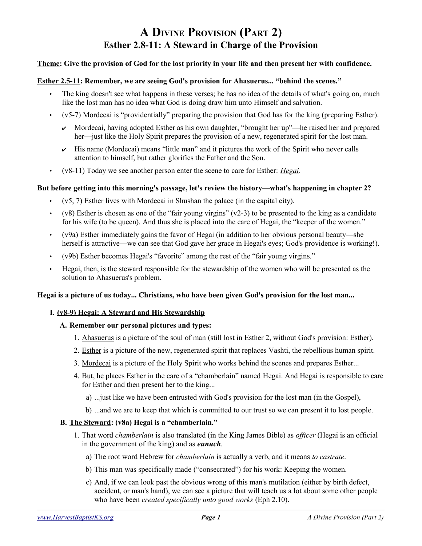# **A DIVINE PROVISION (PART 2) Esther 2.8-11: A Steward in Charge of the Provision**

# **Theme: Give the provision of God for the lost priority in your life and then present her with confidence.**

# **Esther 2.5-11: Remember, we are seeing God's provision for Ahasuerus... "behind the scenes."**

- The king doesn't see what happens in these verses; he has no idea of the details of what's going on, much like the lost man has no idea what God is doing draw him unto Himself and salvation.
- (v5-7) Mordecai is "providentially" preparing the provision that God has for the king (preparing Esther).
	- $\vee$  Mordecai, having adopted Esther as his own daughter, "brought her up"—he raised her and prepared her—just like the Holy Spirit prepares the provision of a new, regenerated spirit for the lost man.
	- $\sim$  His name (Mordecai) means "little man" and it pictures the work of the Spirit who never calls attention to himself, but rather glorifies the Father and the Son.
- (v8-11) Today we see another person enter the scene to care for Esther: *Hegai*.

### **But before getting into this morning's passage, let's review the history—what's happening in chapter 2?**

- $(v5, 7)$  Esther lives with Mordecai in Shushan the palace (in the capital city).
- $(v8)$  Esther is chosen as one of the "fair young virgins"  $(v2-3)$  to be presented to the king as a candidate for his wife (to be queen). And thus she is placed into the care of Hegai, the "keeper of the women."
- (v9a) Esther immediately gains the favor of Hegai (in addition to her obvious personal beauty—she herself is attractive—we can see that God gave her grace in Hegai's eyes; God's providence is working!).
- (v9b) Esther becomes Hegai's "favorite" among the rest of the "fair young virgins."
- Hegai, then, is the steward responsible for the stewardship of the women who will be presented as the solution to Ahasuerus's problem.

#### **Hegai is a picture of us today... Christians, who have been given God's provision for the lost man...**

### **I. (v8-9) Hegai: A Steward and His Stewardship**

#### **A. Remember our personal pictures and types:**

- 1. Ahasuerus is a picture of the soul of man (still lost in Esther 2, without God's provision: Esther).
- 2. Esther is a picture of the new, regenerated spirit that replaces Vashti, the rebellious human spirit.
- 3. Mordecai is a picture of the Holy Spirit who works behind the scenes and prepares Esther...
- 4. But, he places Esther in the care of a "chamberlain" named Hegai. And Hegai is responsible to care for Esther and then present her to the king...
	- a) ...just like we have been entrusted with God's provision for the lost man (in the Gospel),
	- b) ...and we are to keep that which is committed to our trust so we can present it to lost people.

# **B. The Steward: (v8a) Hegai is a "chamberlain."**

- 1. That word *chamberlain* is also translated (in the King James Bible) as *officer* (Hegai is an official in the government of the king) and as *eunuch*.
	- a) The root word Hebrew for *chamberlain* is actually a verb, and it means *to castrate*.
	- b) This man was specifically made ("consecrated") for his work: Keeping the women.
	- c) And, if we can look past the obvious wrong of this man's mutilation (either by birth defect, accident, or man's hand), we can see a picture that will teach us a lot about some other people who have been *created specifically unto good works* (Eph 2.10).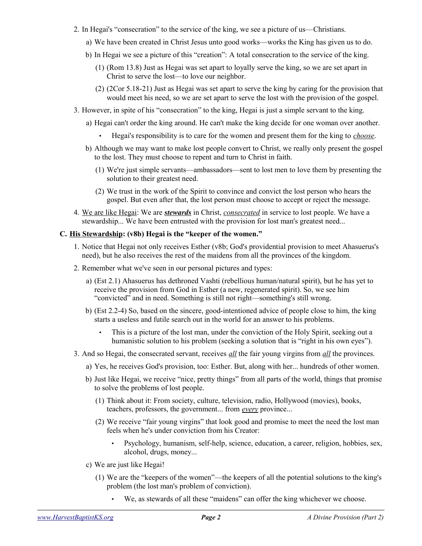- 2. In Hegai's "consecration" to the service of the king, we see a picture of us—Christians.
	- a) We have been created in Christ Jesus unto good works—works the King has given us to do.
	- b) In Hegai we see a picture of this "creation": A total consecration to the service of the king.
		- (1) (Rom 13.8) Just as Hegai was set apart to loyally serve the king, so we are set apart in Christ to serve the lost—to love our neighbor.
		- (2) (2Cor 5.18-21) Just as Hegai was set apart to serve the king by caring for the provision that would meet his need, so we are set apart to serve the lost with the provision of the gospel.
- 3. However, in spite of his "consecration" to the king, Hegai is just a simple servant to the king.
	- a) Hegai can't order the king around. He can't make the king decide for one woman over another.
		- Hegai's responsibility is to care for the women and present them for the king to *choose*.
	- b) Although we may want to make lost people convert to Christ, we really only present the gospel to the lost. They must choose to repent and turn to Christ in faith.
		- (1) We're just simple servants—ambassadors—sent to lost men to love them by presenting the solution to their greatest need.
		- (2) We trust in the work of the Spirit to convince and convict the lost person who hears the gospel. But even after that, the lost person must choose to accept or reject the message.
- 4. We are like Hegai: We are *stewards* in Christ, *consecrated* in service to lost people. We have a stewardship... We have been entrusted with the provision for lost man's greatest need...

# **C. His Stewardship: (v8b) Hegai is the "keeper of the women."**

- 1. Notice that Hegai not only receives Esther (v8b; God's providential provision to meet Ahasuerus's need), but he also receives the rest of the maidens from all the provinces of the kingdom.
- 2. Remember what we've seen in our personal pictures and types:
	- a) (Est 2.1) Ahasuerus has dethroned Vashti (rebellious human/natural spirit), but he has yet to receive the provision from God in Esther (a new, regenerated spirit). So, we see him "convicted" and in need. Something is still not right—something's still wrong.
	- b) (Est 2.2-4) So, based on the sincere, good-intentioned advice of people close to him, the king starts a useless and futile search out in the world for an answer to his problems.
		- This is a picture of the lost man, under the conviction of the Holy Spirit, seeking out a humanistic solution to his problem (seeking a solution that is "right in his own eyes").
- 3. And so Hegai, the consecrated servant, receives *all* the fair young virgins from *all* the provinces.
	- a) Yes, he receives God's provision, too: Esther. But, along with her... hundreds of other women.
	- b) Just like Hegai, we receive "nice, pretty things" from all parts of the world, things that promise to solve the problems of lost people.
		- (1) Think about it: From society, culture, television, radio, Hollywood (movies), books, teachers, professors, the government... from *every* province...
		- (2) We receive "fair young virgins" that look good and promise to meet the need the lost man feels when he's under conviction from his Creator:
			- Psychology, humanism, self-help, science, education, a career, religion, hobbies, sex, alcohol, drugs, money...
	- c) We are just like Hegai!
		- (1) We are the "keepers of the women"—the keepers of all the potential solutions to the king's problem (the lost man's problem of conviction).
			- We, as stewards of all these "maidens" can offer the king whichever we choose.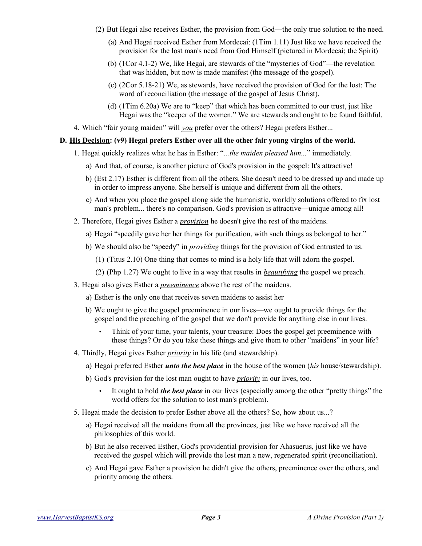- (2) But Hegai also receives Esther, the provision from God—the only true solution to the need.
	- (a) And Hegai received Esther from Mordecai: (1Tim 1.11) Just like we have received the provision for the lost man's need from God Himself (pictured in Mordecai; the Spirit)
	- (b) (1Cor 4.1-2) We, like Hegai, are stewards of the "mysteries of God"—the revelation that was hidden, but now is made manifest (the message of the gospel).
	- (c) (2Cor 5.18-21) We, as stewards, have received the provision of God for the lost: The word of reconciliation (the message of the gospel of Jesus Christ).
	- (d) (1Tim 6.20a) We are to "keep" that which has been committed to our trust, just like Hegai was the "keeper of the women." We are stewards and ought to be found faithful.
- 4. Which "fair young maiden" will *you* prefer over the others? Hegai prefers Esther...

# **D. His Decision: (v9) Hegai prefers Esther over all the other fair young virgins of the world.**

- 1. Hegai quickly realizes what he has in Esther: "*...the maiden pleased him...*" immediately.
	- a) And that, of course, is another picture of God's provision in the gospel: It's attractive!
	- b) (Est 2.17) Esther is different from all the others. She doesn't need to be dressed up and made up in order to impress anyone. She herself is unique and different from all the others.
	- c) And when you place the gospel along side the humanistic, worldly solutions offered to fix lost man's problem... there's no comparison. God's provision is attractive—unique among all!
- 2. Therefore, Hegai gives Esther a *provision* he doesn't give the rest of the maidens.
	- a) Hegai "speedily gave her her things for purification, with such things as belonged to her."
	- b) We should also be "speedy" in *providing* things for the provision of God entrusted to us.
		- (1) (Titus 2.10) One thing that comes to mind is a holy life that will adorn the gospel.
		- (2) (Php 1.27) We ought to live in a way that results in *beautifying* the gospel we preach.
- 3. Hegai also gives Esther a *preeminence* above the rest of the maidens.
	- a) Esther is the only one that receives seven maidens to assist her
	- b) We ought to give the gospel preeminence in our lives—we ought to provide things for the gospel and the preaching of the gospel that we don't provide for anything else in our lives.
		- Think of your time, your talents, your treasure: Does the gospel get preeminence with these things? Or do you take these things and give them to other "maidens" in your life?
- 4. Thirdly, Hegai gives Esther *priority* in his life (and stewardship).
	- a) Hegai preferred Esther *unto the best place* in the house of the women (*his* house/stewardship).
	- b) God's provision for the lost man ought to have *priority* in our lives, too.
		- It ought to hold *the best place* in our lives (especially among the other "pretty things" the world offers for the solution to lost man's problem).
- 5. Hegai made the decision to prefer Esther above all the others? So, how about us...?
	- a) Hegai received all the maidens from all the provinces, just like we have received all the philosophies of this world.
	- b) But he also received Esther, God's providential provision for Ahasuerus, just like we have received the gospel which will provide the lost man a new, regenerated spirit (reconciliation).
	- c) And Hegai gave Esther a provision he didn't give the others, preeminence over the others, and priority among the others.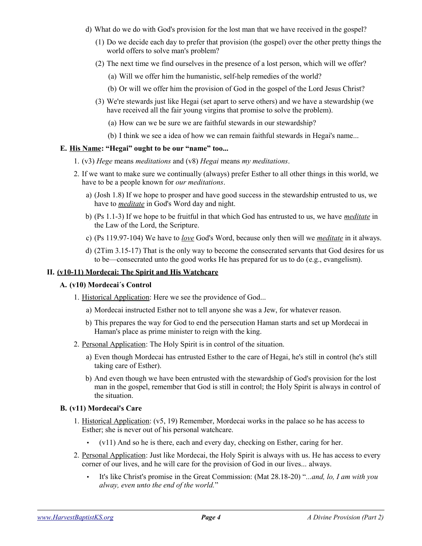- d) What do we do with God's provision for the lost man that we have received in the gospel?
	- (1) Do we decide each day to prefer that provision (the gospel) over the other pretty things the world offers to solve man's problem?
	- (2) The next time we find ourselves in the presence of a lost person, which will we offer?
		- (a) Will we offer him the humanistic, self-help remedies of the world?
		- (b) Or will we offer him the provision of God in the gospel of the Lord Jesus Christ?
	- (3) We're stewards just like Hegai (set apart to serve others) and we have a stewardship (we have received all the fair young virgins that promise to solve the problem).
		- (a) How can we be sure we are faithful stewards in our stewardship?
		- (b) I think we see a idea of how we can remain faithful stewards in Hegai's name...

# **E. His Name: "Hegai" ought to be our "name" too...**

- 1. (v3) *Hege* means *meditations* and (v8) *Hegai* means *my meditations*.
- 2. If we want to make sure we continually (always) prefer Esther to all other things in this world, we have to be a people known for *our meditations*.
	- a) (Josh 1.8) If we hope to prosper and have good success in the stewardship entrusted to us, we have to *meditate* in God's Word day and night.
	- b) (Ps 1.1-3) If we hope to be fruitful in that which God has entrusted to us, we have *meditate* in the Law of the Lord, the Scripture.
	- c) (Ps 119.97-104) We have to *love* God's Word, because only then will we *meditate* in it always.
	- d) (2Tim 3.15-17) That is the only way to become the consecrated servants that God desires for us to be—consecrated unto the good works He has prepared for us to do (e.g., evangelism).

## **II. (v10-11) Mordecai: The Spirit and His Watchcare**

# **A. (v10) Mordecai´s Control**

- 1. Historical Application: Here we see the providence of God...
	- a) Mordecai instructed Esther not to tell anyone she was a Jew, for whatever reason.
	- b) This prepares the way for God to end the persecution Haman starts and set up Mordecai in Haman's place as prime minister to reign with the king.
- 2. Personal Application: The Holy Spirit is in control of the situation.
	- a) Even though Mordecai has entrusted Esther to the care of Hegai, he's still in control (he's still taking care of Esther).
	- b) And even though we have been entrusted with the stewardship of God's provision for the lost man in the gospel, remember that God is still in control; the Holy Spirit is always in control of the situation.

#### **B. (v11) Mordecai's Care**

- 1. Historical Application: (v5, 19) Remember, Mordecai works in the palace so he has access to Esther; she is never out of his personal watchcare.
	- $(v11)$  And so he is there, each and every day, checking on Esther, caring for her.
- 2. Personal Application: Just like Mordecai, the Holy Spirit is always with us. He has access to every corner of our lives, and he will care for the provision of God in our lives... always.
	- It's like Christ's promise in the Great Commission: (Mat 28.18-20) "*...and, lo, I am with you alway, even unto the end of the world.*"